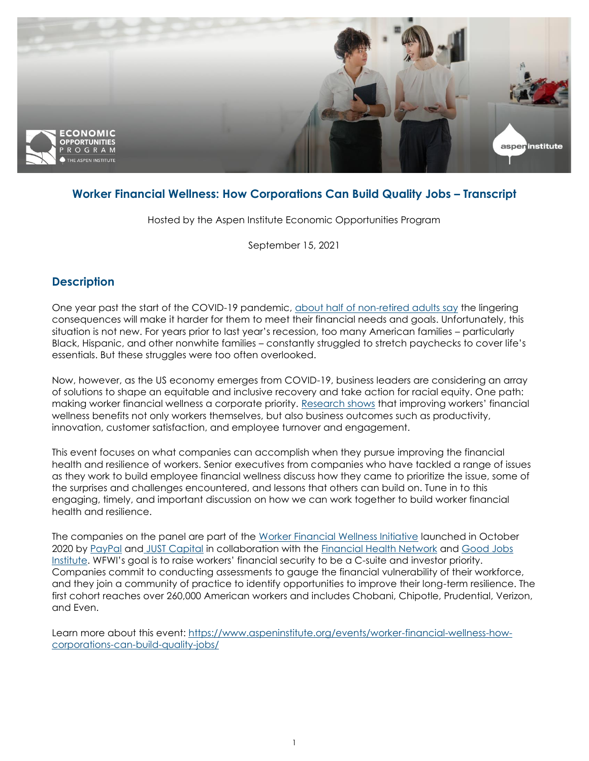

# **Worker Financial Wellness: How Corporations Can Build Quality Jobs – Transcript**

Hosted by the Aspen Institute Economic Opportunities Program

September 15, 2021

# **Description**

One year past the start of the COVID-19 pandemic, [about half of non-retired adults say](https://www.pewresearch.org/social-trends/2021/03/05/a-year-into-the-pandemic-long-term-financial-impact-weighs-heavily-on-many-americans/) the lingering consequences will make it harder for them to meet their financial needs and goals. Unfortunately, this situation is not new. For years prior to last year's recession, too many American families – particularly Black, Hispanic, and other nonwhite families – constantly struggled to stretch paychecks to cover life's essentials. But these struggles were too often overlooked.

Now, however, as the US economy emerges from COVID-19, business leaders are considering an array of solutions to shape an equitable and inclusive recovery and take action for racial equity. One path: making worker financial wellness a corporate priority. [Research shows](https://www.wsj.com/articles/the-case-for-higher-wages-in-hard-times-11611241084) that improving workers' financial wellness benefits not only workers themselves, but also business outcomes such as productivity, innovation, customer satisfaction, and employee turnover and engagement.

This event focuses on what companies can accomplish when they pursue improving the financial health and resilience of workers. Senior executives from companies who have tackled a range of issues as they work to build employee financial wellness discuss how they came to prioritize the issue, some of the surprises and challenges encountered, and lessons that others can build on. Tune in to this engaging, timely, and important discussion on how we can work together to build worker financial health and resilience.

The companies on the panel are part of the [Worker Financial Wellness Initiative](https://justcapital.com/reports/worker-financial-wellness-initiative/) launched in October 2020 by [PayPal](https://about.pypl.com/home/default.aspx) an[d](https://c212.net/c/link/?t=0&l=en&o=3225878-1&h=2405093264&u=https%3A%2F%2Fjustcapital.com%2F&a=%C2%A0) [JUST Capital](https://justcapital.com/) in collaboration with the **Financial Health Network** and Good Jobs [Institute](https://goodjobsinstitute.org/). WFWI's goal is to raise workers' financial security to be a C-suite and investor priority. Companies commit to conducting assessments to gauge the financial vulnerability of their workforce, and they join a community of practice to identify opportunities to improve their long-term resilience. The first cohort reaches over 260,000 American workers and includes Chobani, Chipotle, Prudential, Verizon, and Even.

Learn more about this event: [https://www.aspeninstitute.org/events/worker-financial-wellness-how](https://www.aspeninstitute.org/events/worker-financial-wellness-how-corporations-can-build-quality-jobs/)[corporations-can-build-quality-jobs/](https://www.aspeninstitute.org/events/worker-financial-wellness-how-corporations-can-build-quality-jobs/)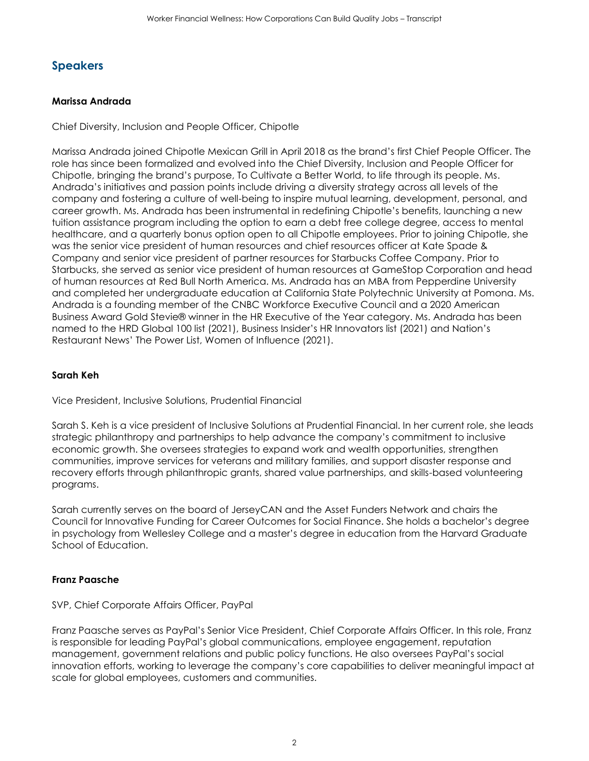# **Speakers**

### **Marissa Andrada**

Chief Diversity, Inclusion and People Officer, Chipotle

Marissa Andrada joined Chipotle Mexican Grill in April 2018 as the brand's first Chief People Officer. The role has since been formalized and evolved into the Chief Diversity, Inclusion and People Officer for Chipotle, bringing the brand's purpose, To Cultivate a Better World, to life through its people. Ms. Andrada's initiatives and passion points include driving a diversity strategy across all levels of the company and fostering a culture of well-being to inspire mutual learning, development, personal, and career growth. Ms. Andrada has been instrumental in redefining Chipotle's benefits, launching a new tuition assistance program including the option to earn a debt free college degree, access to mental healthcare, and a quarterly bonus option open to all Chipotle employees. Prior to joining Chipotle, she was the senior vice president of human resources and chief resources officer at Kate Spade & Company and senior vice president of partner resources for Starbucks Coffee Company. Prior to Starbucks, she served as senior vice president of human resources at GameStop Corporation and head of human resources at Red Bull North America. Ms. Andrada has an MBA from Pepperdine University and completed her undergraduate education at California State Polytechnic University at Pomona. Ms. Andrada is a founding member of the CNBC Workforce Executive Council and a 2020 American Business Award Gold Stevie® winner in the HR Executive of the Year category. Ms. Andrada has been named to the HRD Global 100 list (2021), Business Insider's HR Innovators list (2021) and Nation's Restaurant News' The Power List, Women of Influence (2021).

### **Sarah Keh**

Vice President, Inclusive Solutions, Prudential Financial

Sarah S. Keh is a vice president of Inclusive Solutions at Prudential Financial. In her current role, she leads strategic philanthropy and partnerships to help advance the company's commitment to inclusive economic growth. She oversees strategies to expand work and wealth opportunities, strengthen communities, improve services for veterans and military families, and support disaster response and recovery efforts through philanthropic grants, shared value partnerships, and skills-based volunteering programs.

Sarah currently serves on the board of JerseyCAN and the Asset Funders Network and chairs the Council for Innovative Funding for Career Outcomes for Social Finance. She holds a bachelor's degree in psychology from Wellesley College and a master's degree in education from the Harvard Graduate School of Education.

#### **Franz Paasche**

SVP, Chief Corporate Affairs Officer, PayPal

Franz Paasche serves as PayPal's Senior Vice President, Chief Corporate Affairs Officer. In this role, Franz is responsible for leading PayPal's global communications, employee engagement, reputation management, government relations and public policy functions. He also oversees PayPal's social innovation efforts, working to leverage the company's core capabilities to deliver meaningful impact at scale for global employees, customers and communities.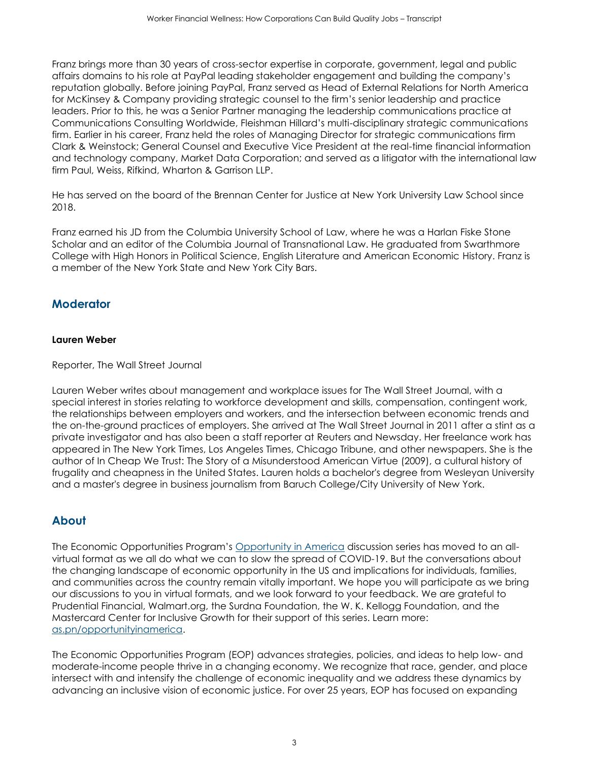Franz brings more than 30 years of cross-sector expertise in corporate, government, legal and public affairs domains to his role at PayPal leading stakeholder engagement and building the company's reputation globally. Before joining PayPal, Franz served as Head of External Relations for North America for McKinsey & Company providing strategic counsel to the firm's senior leadership and practice leaders. Prior to this, he was a Senior Partner managing the leadership communications practice at Communications Consulting Worldwide, Fleishman Hillard's multi-disciplinary strategic communications firm. Earlier in his career, Franz held the roles of Managing Director for strategic communications firm Clark & Weinstock; General Counsel and Executive Vice President at the real-time financial information and technology company, Market Data Corporation; and served as a litigator with the international law firm Paul, Weiss, Rifkind, Wharton & Garrison LLP.

He has served on the board of the Brennan Center for Justice at New York University Law School since 2018.

Franz earned his JD from the Columbia University School of Law, where he was a Harlan Fiske Stone Scholar and an editor of the Columbia Journal of Transnational Law. He graduated from Swarthmore College with High Honors in Political Science, English Literature and American Economic History. Franz is a member of the New York State and New York City Bars.

# **Moderator**

## **Lauren Weber**

Reporter, The Wall Street Journal

Lauren Weber writes about management and workplace issues for The Wall Street Journal, with a special interest in stories relating to workforce development and skills, compensation, contingent work, the relationships between employers and workers, and the intersection between economic trends and the on-the-ground practices of employers. She arrived at The Wall Street Journal in 2011 after a stint as a private investigator and has also been a staff reporter at Reuters and Newsday. Her freelance work has appeared in The New York Times, Los Angeles Times, Chicago Tribune, and other newspapers. She is the author of In Cheap We Trust: The Story of a Misunderstood American Virtue (2009), a cultural history of frugality and cheapness in the United States. Lauren holds a bachelor's degree from Wesleyan University and a master's degree in business journalism from Baruch College/City University of New York.

# **About**

The Economic Opportunities Program's [Opportunity in America](https://www.aspeninstitute.org/series/opportunity-in-america/) discussion series has moved to an allvirtual format as we all do what we can to slow the spread of COVID-19. But the conversations about the changing landscape of economic opportunity in the US and implications for individuals, families, and communities across the country remain vitally important. We hope you will participate as we bring our discussions to you in virtual formats, and we look forward to your feedback. We are grateful to Prudential Financial, Walmart.org, the Surdna Foundation, the W. K. Kellogg Foundation, and the Mastercard Center for Inclusive Growth for their support of this series. Learn more: [as.pn/opportunityinamerica.](https://www.aspeninstitute.org/series/opportunity-in-america/)

The Economic Opportunities Program (EOP) advances strategies, policies, and ideas to help low- and moderate-income people thrive in a changing economy. We recognize that race, gender, and place intersect with and intensify the challenge of economic inequality and we address these dynamics by advancing an inclusive vision of economic justice. For over 25 years, EOP has focused on expanding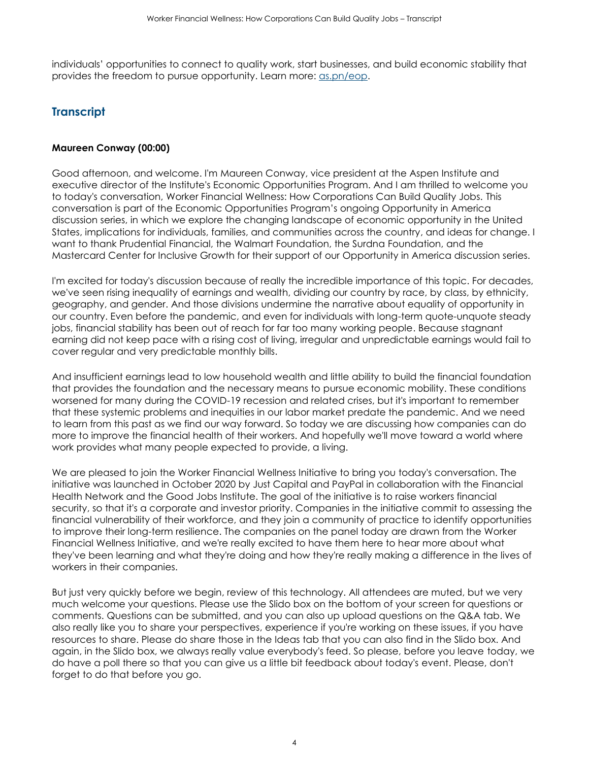individuals' opportunities to connect to quality work, start businesses, and build economic stability that provides the freedom to pursue opportunity. Learn more: [as.pn/eop.](https://www.aspeninstitute.org/programs/economic-opportunities-program/)

# **Transcript**

#### **Maureen Conway (00:00)**

Good afternoon, and welcome. I'm Maureen Conway, vice president at the Aspen Institute and executive director of the Institute's Economic Opportunities Program. And I am thrilled to welcome you to today's conversation, Worker Financial Wellness: How Corporations Can Build Quality Jobs. This conversation is part of the Economic Opportunities Program's ongoing Opportunity in America discussion series, in which we explore the changing landscape of economic opportunity in the United States, implications for individuals, families, and communities across the country, and ideas for change. I want to thank Prudential Financial, the Walmart Foundation, the Surdna Foundation, and the Mastercard Center for Inclusive Growth for their support of our Opportunity in America discussion series.

I'm excited for today's discussion because of really the incredible importance of this topic. For decades, we've seen rising inequality of earnings and wealth, dividing our country by race, by class, by ethnicity, geography, and gender. And those divisions undermine the narrative about equality of opportunity in our country. Even before the pandemic, and even for individuals with long-term quote-unquote steady jobs, financial stability has been out of reach for far too many working people. Because stagnant earning did not keep pace with a rising cost of living, irregular and unpredictable earnings would fail to cover regular and very predictable monthly bills.

And insufficient earnings lead to low household wealth and little ability to build the financial foundation that provides the foundation and the necessary means to pursue economic mobility. These conditions worsened for many during the COVID-19 recession and related crises, but it's important to remember that these systemic problems and inequities in our labor market predate the pandemic. And we need to learn from this past as we find our way forward. So today we are discussing how companies can do more to improve the financial health of their workers. And hopefully we'll move toward a world where work provides what many people expected to provide, a living.

We are pleased to join the Worker Financial Wellness Initiative to bring you today's conversation. The initiative was launched in October 2020 by Just Capital and PayPal in collaboration with the Financial Health Network and the Good Jobs Institute. The goal of the initiative is to raise workers financial security, so that it's a corporate and investor priority. Companies in the initiative commit to assessing the financial vulnerability of their workforce, and they join a community of practice to identify opportunities to improve their long-term resilience. The companies on the panel today are drawn from the Worker Financial Wellness Initiative, and we're really excited to have them here to hear more about what they've been learning and what they're doing and how they're really making a difference in the lives of workers in their companies.

But just very quickly before we begin, review of this technology. All attendees are muted, but we very much welcome your questions. Please use the Slido box on the bottom of your screen for questions or comments. Questions can be submitted, and you can also up upload questions on the Q&A tab. We also really like you to share your perspectives, experience if you're working on these issues, if you have resources to share. Please do share those in the Ideas tab that you can also find in the Slido box. And again, in the Slido box, we always really value everybody's feed. So please, before you leave today, we do have a poll there so that you can give us a little bit feedback about today's event. Please, don't forget to do that before you go.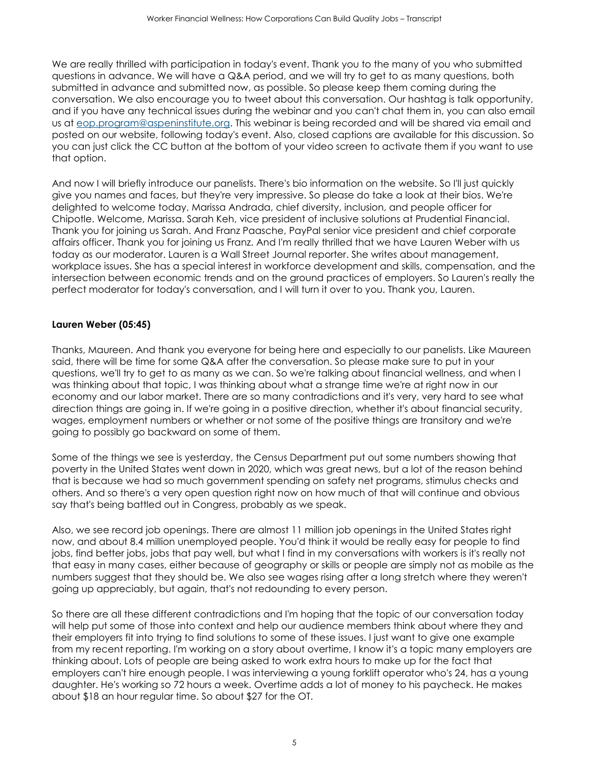We are really thrilled with participation in today's event. Thank you to the many of you who submitted questions in advance. We will have a Q&A period, and we will try to get to as many questions, both submitted in advance and submitted now, as possible. So please keep them coming during the conversation. We also encourage you to tweet about this conversation. Our hashtag is talk opportunity, and if you have any technical issues during the webinar and you can't chat them in, you can also email us at [eop.program@aspeninstitute.org.](mailto:eop.program@aspeninstitute.org) This webinar is being recorded and will be shared via email and posted on our website, following today's event. Also, closed captions are available for this discussion. So you can just click the CC button at the bottom of your video screen to activate them if you want to use that option.

And now I will briefly introduce our panelists. There's bio information on the website. So I'll just quickly give you names and faces, but they're very impressive. So please do take a look at their bios. We're delighted to welcome today, Marissa Andrada, chief diversity, inclusion, and people officer for Chipotle. Welcome, Marissa. Sarah Keh, vice president of inclusive solutions at Prudential Financial. Thank you for joining us Sarah. And Franz Paasche, PayPal senior vice president and chief corporate affairs officer. Thank you for joining us Franz. And I'm really thrilled that we have Lauren Weber with us today as our moderator. Lauren is a Wall Street Journal reporter. She writes about management, workplace issues. She has a special interest in workforce development and skills, compensation, and the intersection between economic trends and on the ground practices of employers. So Lauren's really the perfect moderator for today's conversation, and I will turn it over to you. Thank you, Lauren.

# **Lauren Weber (05:45)**

Thanks, Maureen. And thank you everyone for being here and especially to our panelists. Like Maureen said, there will be time for some Q&A after the conversation. So please make sure to put in your questions, we'll try to get to as many as we can. So we're talking about financial wellness, and when I was thinking about that topic, I was thinking about what a strange time we're at right now in our economy and our labor market. There are so many contradictions and it's very, very hard to see what direction things are going in. If we're going in a positive direction, whether it's about financial security, wages, employment numbers or whether or not some of the positive things are transitory and we're going to possibly go backward on some of them.

Some of the things we see is yesterday, the Census Department put out some numbers showing that poverty in the United States went down in 2020, which was great news, but a lot of the reason behind that is because we had so much government spending on safety net programs, stimulus checks and others. And so there's a very open question right now on how much of that will continue and obvious say that's being battled out in Congress, probably as we speak.

Also, we see record job openings. There are almost 11 million job openings in the United States right now, and about 8.4 million unemployed people. You'd think it would be really easy for people to find jobs, find better jobs, jobs that pay well, but what I find in my conversations with workers is it's really not that easy in many cases, either because of geography or skills or people are simply not as mobile as the numbers suggest that they should be. We also see wages rising after a long stretch where they weren't going up appreciably, but again, that's not redounding to every person.

So there are all these different contradictions and I'm hoping that the topic of our conversation today will help put some of those into context and help our audience members think about where they and their employers fit into trying to find solutions to some of these issues. I just want to give one example from my recent reporting. I'm working on a story about overtime, I know it's a topic many employers are thinking about. Lots of people are being asked to work extra hours to make up for the fact that employers can't hire enough people. I was interviewing a young forklift operator who's 24, has a young daughter. He's working so 72 hours a week. Overtime adds a lot of money to his paycheck. He makes about \$18 an hour regular time. So about \$27 for the OT.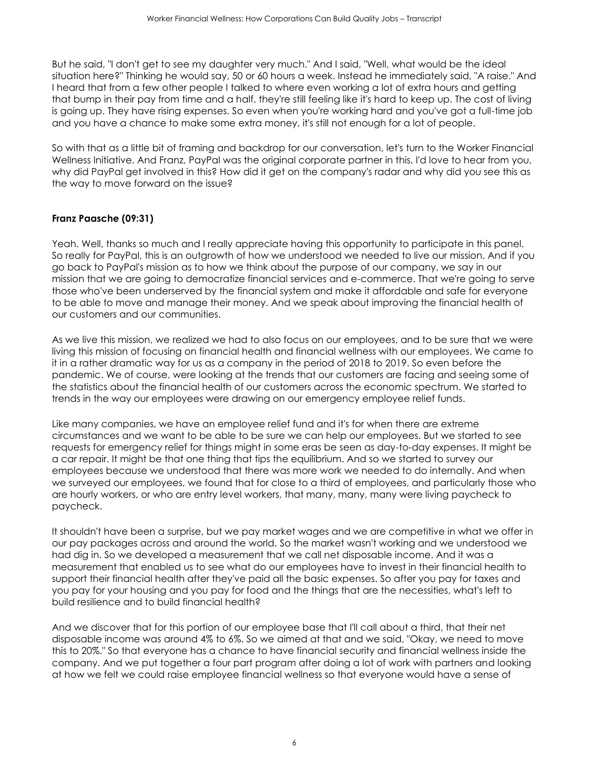But he said, "I don't get to see my daughter very much." And I said, "Well, what would be the ideal situation here?" Thinking he would say, 50 or 60 hours a week. Instead he immediately said, "A raise." And I heard that from a few other people I talked to where even working a lot of extra hours and getting that bump in their pay from time and a half, they're still feeling like it's hard to keep up. The cost of living is going up. They have rising expenses. So even when you're working hard and you've got a full-time job and you have a chance to make some extra money, it's still not enough for a lot of people.

So with that as a little bit of framing and backdrop for our conversation, let's turn to the Worker Financial Wellness Initiative. And Franz, PayPal was the original corporate partner in this. I'd love to hear from you, why did PayPal get involved in this? How did it get on the company's radar and why did you see this as the way to move forward on the issue?

# **Franz Paasche (09:31)**

Yeah. Well, thanks so much and I really appreciate having this opportunity to participate in this panel. So really for PayPal, this is an outgrowth of how we understood we needed to live our mission. And if you go back to PayPal's mission as to how we think about the purpose of our company, we say in our mission that we are going to democratize financial services and e-commerce. That we're going to serve those who've been underserved by the financial system and make it affordable and safe for everyone to be able to move and manage their money. And we speak about improving the financial health of our customers and our communities.

As we live this mission, we realized we had to also focus on our employees, and to be sure that we were living this mission of focusing on financial health and financial wellness with our employees. We came to it in a rather dramatic way for us as a company in the period of 2018 to 2019. So even before the pandemic. We of course, were looking at the trends that our customers are facing and seeing some of the statistics about the financial health of our customers across the economic spectrum. We started to trends in the way our employees were drawing on our emergency employee relief funds.

Like many companies, we have an employee relief fund and it's for when there are extreme circumstances and we want to be able to be sure we can help our employees. But we started to see requests for emergency relief for things might in some eras be seen as day-to-day expenses. It might be a car repair. It might be that one thing that tips the equilibrium. And so we started to survey our employees because we understood that there was more work we needed to do internally. And when we surveyed our employees, we found that for close to a third of employees, and particularly those who are hourly workers, or who are entry level workers, that many, many, many were living paycheck to paycheck.

It shouldn't have been a surprise, but we pay market wages and we are competitive in what we offer in our pay packages across and around the world. So the market wasn't working and we understood we had dig in. So we developed a measurement that we call net disposable income. And it was a measurement that enabled us to see what do our employees have to invest in their financial health to support their financial health after they've paid all the basic expenses. So after you pay for taxes and you pay for your housing and you pay for food and the things that are the necessities, what's left to build resilience and to build financial health?

And we discover that for this portion of our employee base that I'll call about a third, that their net disposable income was around 4% to 6%. So we aimed at that and we said, "Okay, we need to move this to 20%." So that everyone has a chance to have financial security and financial wellness inside the company. And we put together a four part program after doing a lot of work with partners and looking at how we felt we could raise employee financial wellness so that everyone would have a sense of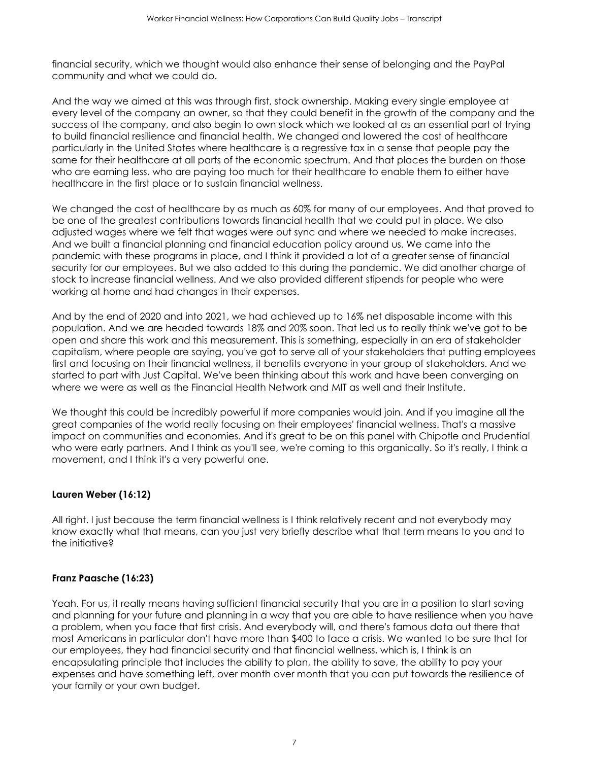financial security, which we thought would also enhance their sense of belonging and the PayPal community and what we could do.

And the way we aimed at this was through first, stock ownership. Making every single employee at every level of the company an owner, so that they could benefit in the growth of the company and the success of the company, and also begin to own stock which we looked at as an essential part of trying to build financial resilience and financial health. We changed and lowered the cost of healthcare particularly in the United States where healthcare is a regressive tax in a sense that people pay the same for their healthcare at all parts of the economic spectrum. And that places the burden on those who are earning less, who are paying too much for their healthcare to enable them to either have healthcare in the first place or to sustain financial wellness.

We changed the cost of healthcare by as much as 60% for many of our employees. And that proved to be one of the greatest contributions towards financial health that we could put in place. We also adjusted wages where we felt that wages were out sync and where we needed to make increases. And we built a financial planning and financial education policy around us. We came into the pandemic with these programs in place, and I think it provided a lot of a greater sense of financial security for our employees. But we also added to this during the pandemic. We did another charge of stock to increase financial wellness. And we also provided different stipends for people who were working at home and had changes in their expenses.

And by the end of 2020 and into 2021, we had achieved up to 16% net disposable income with this population. And we are headed towards 18% and 20% soon. That led us to really think we've got to be open and share this work and this measurement. This is something, especially in an era of stakeholder capitalism, where people are saying, you've got to serve all of your stakeholders that putting employees first and focusing on their financial wellness, it benefits everyone in your group of stakeholders. And we started to part with Just Capital. We've been thinking about this work and have been converging on where we were as well as the Financial Health Network and MIT as well and their Institute.

We thought this could be incredibly powerful if more companies would join. And if you imagine all the great companies of the world really focusing on their employees' financial wellness. That's a massive impact on communities and economies. And it's great to be on this panel with Chipotle and Prudential who were early partners. And I think as you'll see, we're coming to this organically. So it's really, I think a movement, and I think it's a very powerful one.

# **Lauren Weber (16:12)**

All right. I just because the term financial wellness is I think relatively recent and not everybody may know exactly what that means, can you just very briefly describe what that term means to you and to the initiative?

#### **Franz Paasche (16:23)**

Yeah. For us, it really means having sufficient financial security that you are in a position to start saving and planning for your future and planning in a way that you are able to have resilience when you have a problem, when you face that first crisis. And everybody will, and there's famous data out there that most Americans in particular don't have more than \$400 to face a crisis. We wanted to be sure that for our employees, they had financial security and that financial wellness, which is, I think is an encapsulating principle that includes the ability to plan, the ability to save, the ability to pay your expenses and have something left, over month over month that you can put towards the resilience of your family or your own budget.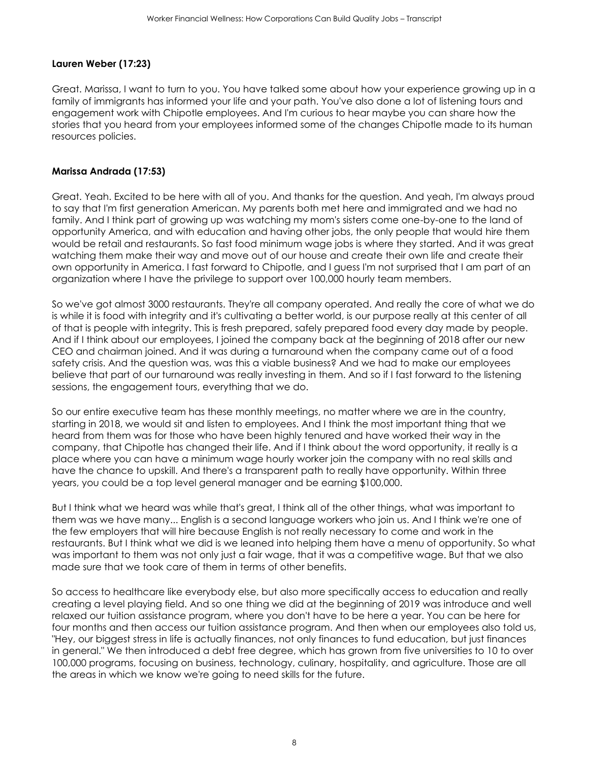## **Lauren Weber (17:23)**

Great. Marissa, I want to turn to you. You have talked some about how your experience growing up in a family of immigrants has informed your life and your path. You've also done a lot of listening tours and engagement work with Chipotle employees. And I'm curious to hear maybe you can share how the stories that you heard from your employees informed some of the changes Chipotle made to its human resources policies.

### **Marissa Andrada (17:53)**

Great. Yeah. Excited to be here with all of you. And thanks for the question. And yeah, I'm always proud to say that I'm first generation American. My parents both met here and immigrated and we had no family. And I think part of growing up was watching my mom's sisters come one-by-one to the land of opportunity America, and with education and having other jobs, the only people that would hire them would be retail and restaurants. So fast food minimum wage jobs is where they started. And it was great watching them make their way and move out of our house and create their own life and create their own opportunity in America. I fast forward to Chipotle, and I guess I'm not surprised that I am part of an organization where I have the privilege to support over 100,000 hourly team members.

So we've got almost 3000 restaurants. They're all company operated. And really the core of what we do is while it is food with integrity and it's cultivating a better world, is our purpose really at this center of all of that is people with integrity. This is fresh prepared, safely prepared food every day made by people. And if I think about our employees, I joined the company back at the beginning of 2018 after our new CEO and chairman joined. And it was during a turnaround when the company came out of a food safety crisis. And the question was, was this a viable business? And we had to make our employees believe that part of our turnaround was really investing in them. And so if I fast forward to the listening sessions, the engagement tours, everything that we do.

So our entire executive team has these monthly meetings, no matter where we are in the country, starting in 2018, we would sit and listen to employees. And I think the most important thing that we heard from them was for those who have been highly tenured and have worked their way in the company, that Chipotle has changed their life. And if I think about the word opportunity, it really is a place where you can have a minimum wage hourly worker join the company with no real skills and have the chance to upskill. And there's a transparent path to really have opportunity. Within three years, you could be a top level general manager and be earning \$100,000.

But I think what we heard was while that's great, I think all of the other things, what was important to them was we have many... English is a second language workers who join us. And I think we're one of the few employers that will hire because English is not really necessary to come and work in the restaurants. But I think what we did is we leaned into helping them have a menu of opportunity. So what was important to them was not only just a fair wage, that it was a competitive wage. But that we also made sure that we took care of them in terms of other benefits.

So access to healthcare like everybody else, but also more specifically access to education and really creating a level playing field. And so one thing we did at the beginning of 2019 was introduce and well relaxed our tuition assistance program, where you don't have to be here a year. You can be here for four months and then access our tuition assistance program. And then when our employees also told us, "Hey, our biggest stress in life is actually finances, not only finances to fund education, but just finances in general." We then introduced a debt free degree, which has grown from five universities to 10 to over 100,000 programs, focusing on business, technology, culinary, hospitality, and agriculture. Those are all the areas in which we know we're going to need skills for the future.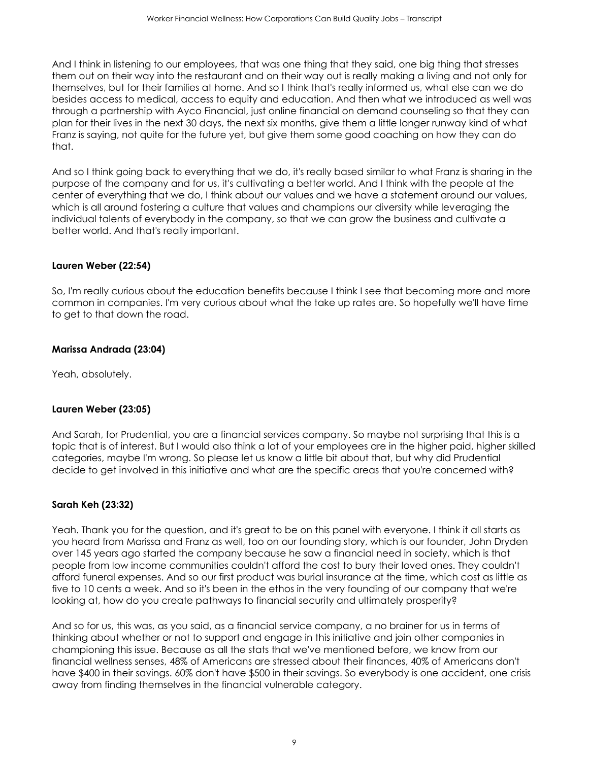And I think in listening to our employees, that was one thing that they said, one big thing that stresses them out on their way into the restaurant and on their way out is really making a living and not only for themselves, but for their families at home. And so I think that's really informed us, what else can we do besides access to medical, access to equity and education. And then what we introduced as well was through a partnership with Ayco Financial, just online financial on demand counseling so that they can plan for their lives in the next 30 days, the next six months, give them a little longer runway kind of what Franz is saying, not quite for the future yet, but give them some good coaching on how they can do that.

And so I think going back to everything that we do, it's really based similar to what Franz is sharing in the purpose of the company and for us, it's cultivating a better world. And I think with the people at the center of everything that we do, I think about our values and we have a statement around our values, which is all around fostering a culture that values and champions our diversity while leveraging the individual talents of everybody in the company, so that we can grow the business and cultivate a better world. And that's really important.

# **Lauren Weber (22:54)**

So, I'm really curious about the education benefits because I think I see that becoming more and more common in companies. I'm very curious about what the take up rates are. So hopefully we'll have time to get to that down the road.

# **Marissa Andrada (23:04)**

Yeah, absolutely.

# **Lauren Weber (23:05)**

And Sarah, for Prudential, you are a financial services company. So maybe not surprising that this is a topic that is of interest. But I would also think a lot of your employees are in the higher paid, higher skilled categories, maybe I'm wrong. So please let us know a little bit about that, but why did Prudential decide to get involved in this initiative and what are the specific areas that you're concerned with?

# **Sarah Keh (23:32)**

Yeah. Thank you for the question, and it's great to be on this panel with everyone. I think it all starts as you heard from Marissa and Franz as well, too on our founding story, which is our founder, John Dryden over 145 years ago started the company because he saw a financial need in society, which is that people from low income communities couldn't afford the cost to bury their loved ones. They couldn't afford funeral expenses. And so our first product was burial insurance at the time, which cost as little as five to 10 cents a week. And so it's been in the ethos in the very founding of our company that we're looking at, how do you create pathways to financial security and ultimately prosperity?

And so for us, this was, as you said, as a financial service company, a no brainer for us in terms of thinking about whether or not to support and engage in this initiative and join other companies in championing this issue. Because as all the stats that we've mentioned before, we know from our financial wellness senses, 48% of Americans are stressed about their finances, 40% of Americans don't have \$400 in their savings. 60% don't have \$500 in their savings. So everybody is one accident, one crisis away from finding themselves in the financial vulnerable category.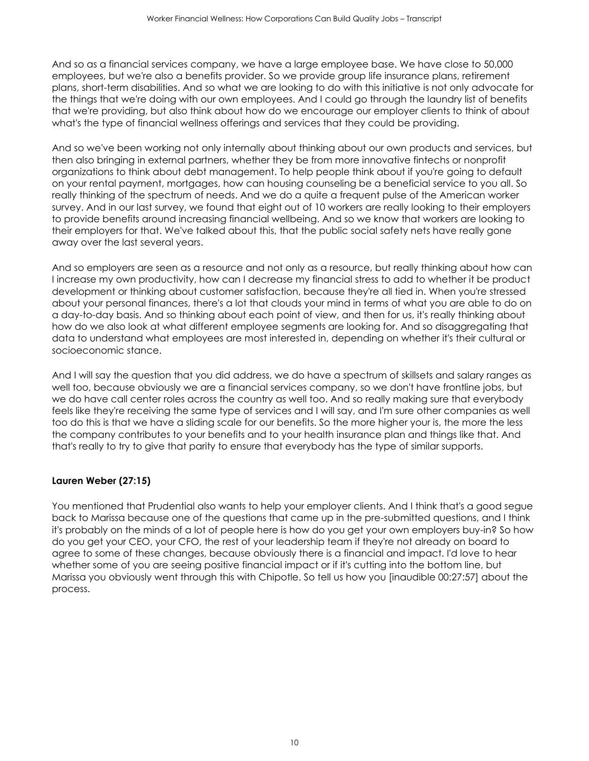And so as a financial services company, we have a large employee base. We have close to 50,000 employees, but we're also a benefits provider. So we provide group life insurance plans, retirement plans, short-term disabilities. And so what we are looking to do with this initiative is not only advocate for the things that we're doing with our own employees. And I could go through the laundry list of benefits that we're providing, but also think about how do we encourage our employer clients to think of about what's the type of financial wellness offerings and services that they could be providing.

And so we've been working not only internally about thinking about our own products and services, but then also bringing in external partners, whether they be from more innovative fintechs or nonprofit organizations to think about debt management. To help people think about if you're going to default on your rental payment, mortgages, how can housing counseling be a beneficial service to you all. So really thinking of the spectrum of needs. And we do a quite a frequent pulse of the American worker survey. And in our last survey, we found that eight out of 10 workers are really looking to their employers to provide benefits around increasing financial wellbeing. And so we know that workers are looking to their employers for that. We've talked about this, that the public social safety nets have really gone away over the last several years.

And so employers are seen as a resource and not only as a resource, but really thinking about how can I increase my own productivity, how can I decrease my financial stress to add to whether it be product development or thinking about customer satisfaction, because they're all tied in. When you're stressed about your personal finances, there's a lot that clouds your mind in terms of what you are able to do on a day-to-day basis. And so thinking about each point of view, and then for us, it's really thinking about how do we also look at what different employee segments are looking for. And so disaggregating that data to understand what employees are most interested in, depending on whether it's their cultural or socioeconomic stance.

And I will say the question that you did address, we do have a spectrum of skillsets and salary ranges as well too, because obviously we are a financial services company, so we don't have frontline jobs, but we do have call center roles across the country as well too. And so really making sure that everybody feels like they're receiving the same type of services and I will say, and I'm sure other companies as well too do this is that we have a sliding scale for our benefits. So the more higher your is, the more the less the company contributes to your benefits and to your health insurance plan and things like that. And that's really to try to give that parity to ensure that everybody has the type of similar supports.

# **Lauren Weber (27:15)**

You mentioned that Prudential also wants to help your employer clients. And I think that's a good segue back to Marissa because one of the questions that came up in the pre-submitted questions, and I think it's probably on the minds of a lot of people here is how do you get your own employers buy-in? So how do you get your CEO, your CFO, the rest of your leadership team if they're not already on board to agree to some of these changes, because obviously there is a financial and impact. I'd love to hear whether some of you are seeing positive financial impact or if it's cutting into the bottom line, but Marissa you obviously went through this with Chipotle. So tell us how you [inaudible 00:27:57] about the process.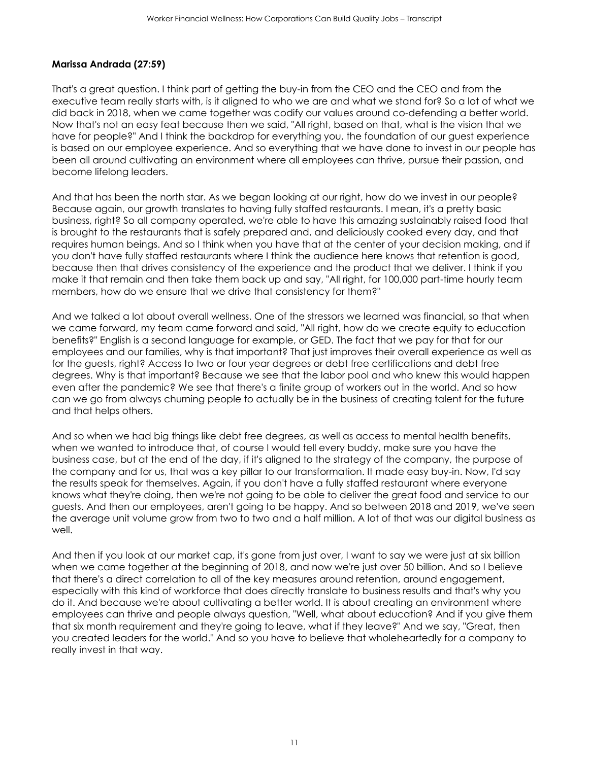### **Marissa Andrada (27:59)**

That's a great question. I think part of getting the buy-in from the CEO and the CEO and from the executive team really starts with, is it aligned to who we are and what we stand for? So a lot of what we did back in 2018, when we came together was codify our values around co-defending a better world. Now that's not an easy feat because then we said, "All right, based on that, what is the vision that we have for people?" And I think the backdrop for everything you, the foundation of our guest experience is based on our employee experience. And so everything that we have done to invest in our people has been all around cultivating an environment where all employees can thrive, pursue their passion, and become lifelong leaders.

And that has been the north star. As we began looking at our right, how do we invest in our people? Because again, our growth translates to having fully staffed restaurants. I mean, it's a pretty basic business, right? So all company operated, we're able to have this amazing sustainably raised food that is brought to the restaurants that is safely prepared and, and deliciously cooked every day, and that requires human beings. And so I think when you have that at the center of your decision making, and if you don't have fully staffed restaurants where I think the audience here knows that retention is good, because then that drives consistency of the experience and the product that we deliver. I think if you make it that remain and then take them back up and say, "All right, for 100,000 part-time hourly team members, how do we ensure that we drive that consistency for them?"

And we talked a lot about overall wellness. One of the stressors we learned was financial, so that when we came forward, my team came forward and said, "All right, how do we create equity to education benefits?" English is a second language for example, or GED. The fact that we pay for that for our employees and our families, why is that important? That just improves their overall experience as well as for the guests, right? Access to two or four year degrees or debt free certifications and debt free degrees. Why is that important? Because we see that the labor pool and who knew this would happen even after the pandemic? We see that there's a finite group of workers out in the world. And so how can we go from always churning people to actually be in the business of creating talent for the future and that helps others.

And so when we had big things like debt free degrees, as well as access to mental health benefits, when we wanted to introduce that, of course I would tell every buddy, make sure you have the business case, but at the end of the day, if it's aligned to the strategy of the company, the purpose of the company and for us, that was a key pillar to our transformation. It made easy buy-in. Now, I'd say the results speak for themselves. Again, if you don't have a fully staffed restaurant where everyone knows what they're doing, then we're not going to be able to deliver the great food and service to our guests. And then our employees, aren't going to be happy. And so between 2018 and 2019, we've seen the average unit volume grow from two to two and a half million. A lot of that was our digital business as well.

And then if you look at our market cap, it's gone from just over, I want to say we were just at six billion when we came together at the beginning of 2018, and now we're just over 50 billion. And so I believe that there's a direct correlation to all of the key measures around retention, around engagement, especially with this kind of workforce that does directly translate to business results and that's why you do it. And because we're about cultivating a better world. It is about creating an environment where employees can thrive and people always question, "Well, what about education? And if you give them that six month requirement and they're going to leave, what if they leave?" And we say, "Great, then you created leaders for the world." And so you have to believe that wholeheartedly for a company to really invest in that way.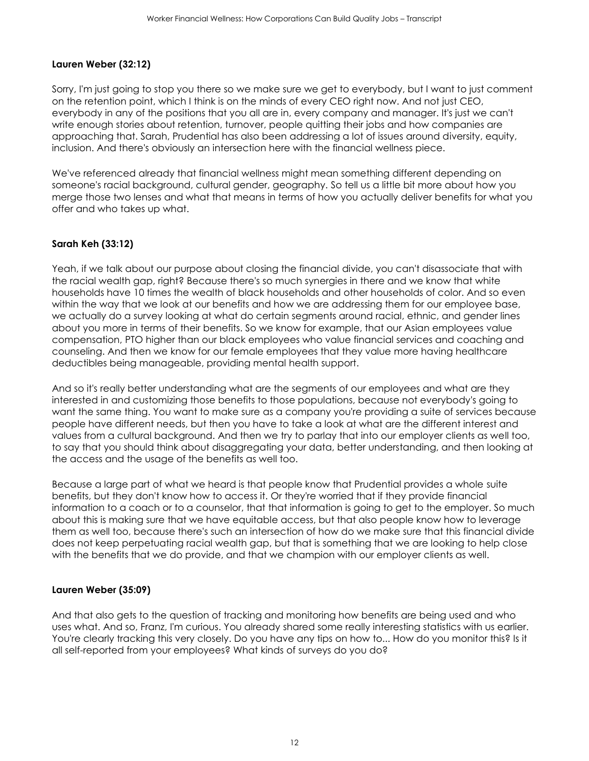## **Lauren Weber (32:12)**

Sorry, I'm just going to stop you there so we make sure we get to everybody, but I want to just comment on the retention point, which I think is on the minds of every CEO right now. And not just CEO, everybody in any of the positions that you all are in, every company and manager. It's just we can't write enough stories about retention, turnover, people quitting their jobs and how companies are approaching that. Sarah, Prudential has also been addressing a lot of issues around diversity, equity, inclusion. And there's obviously an intersection here with the financial wellness piece.

We've referenced already that financial wellness might mean something different depending on someone's racial background, cultural gender, geography. So tell us a little bit more about how you merge those two lenses and what that means in terms of how you actually deliver benefits for what you offer and who takes up what.

## **Sarah Keh (33:12)**

Yeah, if we talk about our purpose about closing the financial divide, you can't disassociate that with the racial wealth gap, right? Because there's so much synergies in there and we know that white households have 10 times the wealth of black households and other households of color. And so even within the way that we look at our benefits and how we are addressing them for our employee base, we actually do a survey looking at what do certain segments around racial, ethnic, and gender lines about you more in terms of their benefits. So we know for example, that our Asian employees value compensation, PTO higher than our black employees who value financial services and coaching and counseling. And then we know for our female employees that they value more having healthcare deductibles being manageable, providing mental health support.

And so it's really better understanding what are the segments of our employees and what are they interested in and customizing those benefits to those populations, because not everybody's going to want the same thing. You want to make sure as a company you're providing a suite of services because people have different needs, but then you have to take a look at what are the different interest and values from a cultural background. And then we try to parlay that into our employer clients as well too, to say that you should think about disaggregating your data, better understanding, and then looking at the access and the usage of the benefits as well too.

Because a large part of what we heard is that people know that Prudential provides a whole suite benefits, but they don't know how to access it. Or they're worried that if they provide financial information to a coach or to a counselor, that that information is going to get to the employer. So much about this is making sure that we have equitable access, but that also people know how to leverage them as well too, because there's such an intersection of how do we make sure that this financial divide does not keep perpetuating racial wealth gap, but that is something that we are looking to help close with the benefits that we do provide, and that we champion with our employer clients as well.

#### **Lauren Weber (35:09)**

And that also gets to the question of tracking and monitoring how benefits are being used and who uses what. And so, Franz, I'm curious. You already shared some really interesting statistics with us earlier. You're clearly tracking this very closely. Do you have any tips on how to... How do you monitor this? Is it all self-reported from your employees? What kinds of surveys do you do?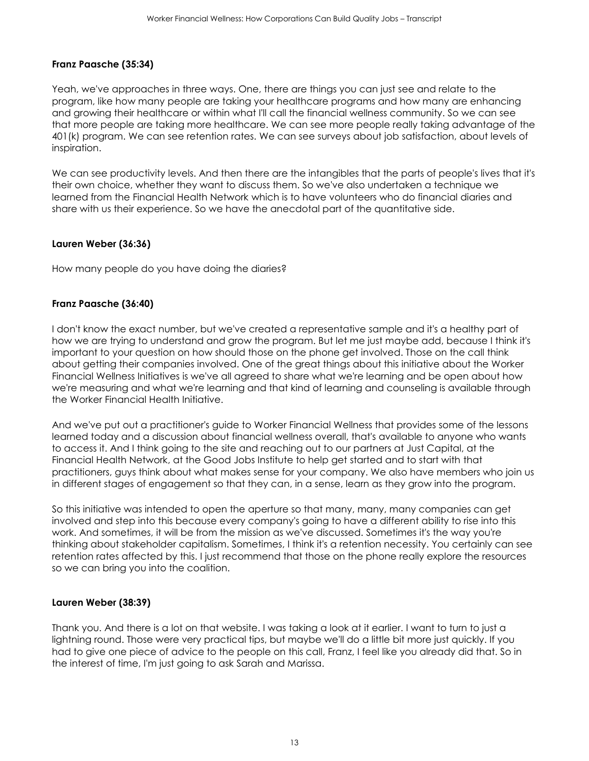### **Franz Paasche (35:34)**

Yeah, we've approaches in three ways. One, there are things you can just see and relate to the program, like how many people are taking your healthcare programs and how many are enhancing and growing their healthcare or within what I'll call the financial wellness community. So we can see that more people are taking more healthcare. We can see more people really taking advantage of the 401(k) program. We can see retention rates. We can see surveys about job satisfaction, about levels of inspiration.

We can see productivity levels. And then there are the intangibles that the parts of people's lives that it's their own choice, whether they want to discuss them. So we've also undertaken a technique we learned from the Financial Health Network which is to have volunteers who do financial diaries and share with us their experience. So we have the anecdotal part of the quantitative side.

#### **Lauren Weber (36:36)**

How many people do you have doing the diaries?

#### **Franz Paasche (36:40)**

I don't know the exact number, but we've created a representative sample and it's a healthy part of how we are trying to understand and grow the program. But let me just maybe add, because I think it's important to your question on how should those on the phone get involved. Those on the call think about getting their companies involved. One of the great things about this initiative about the Worker Financial Wellness Initiatives is we've all agreed to share what we're learning and be open about how we're measuring and what we're learning and that kind of learning and counseling is available through the Worker Financial Health Initiative.

And we've put out a practitioner's guide to Worker Financial Wellness that provides some of the lessons learned today and a discussion about financial wellness overall, that's available to anyone who wants to access it. And I think going to the site and reaching out to our partners at Just Capital, at the Financial Health Network, at the Good Jobs Institute to help get started and to start with that practitioners, guys think about what makes sense for your company. We also have members who join us in different stages of engagement so that they can, in a sense, learn as they grow into the program.

So this initiative was intended to open the aperture so that many, many, many companies can get involved and step into this because every company's going to have a different ability to rise into this work. And sometimes, it will be from the mission as we've discussed. Sometimes it's the way you're thinking about stakeholder capitalism. Sometimes, I think it's a retention necessity. You certainly can see retention rates affected by this. I just recommend that those on the phone really explore the resources so we can bring you into the coalition.

#### **Lauren Weber (38:39)**

Thank you. And there is a lot on that website. I was taking a look at it earlier. I want to turn to just a lightning round. Those were very practical tips, but maybe we'll do a little bit more just quickly. If you had to give one piece of advice to the people on this call, Franz, I feel like you already did that. So in the interest of time, I'm just going to ask Sarah and Marissa.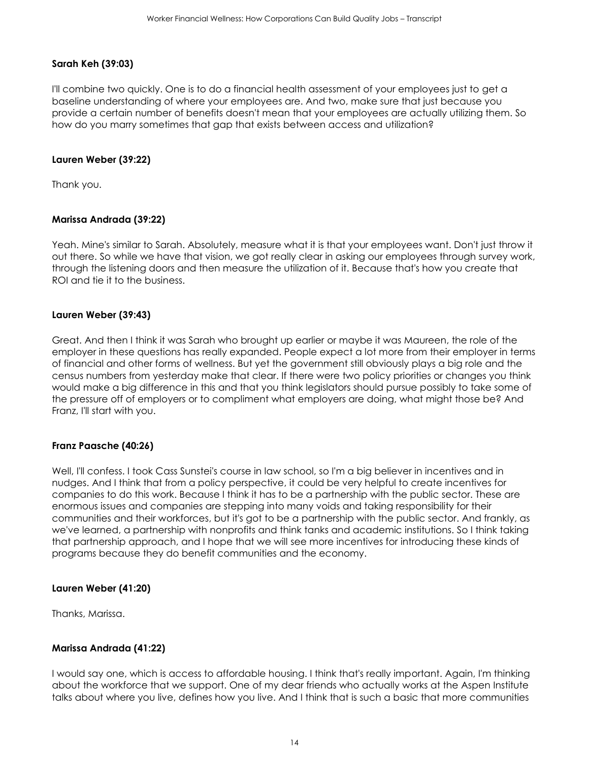## **Sarah Keh (39:03)**

I'll combine two quickly. One is to do a financial health assessment of your employees just to get a baseline understanding of where your employees are. And two, make sure that just because you provide a certain number of benefits doesn't mean that your employees are actually utilizing them. So how do you marry sometimes that gap that exists between access and utilization?

#### **Lauren Weber (39:22)**

Thank you.

## **Marissa Andrada (39:22)**

Yeah. Mine's similar to Sarah. Absolutely, measure what it is that your employees want. Don't just throw it out there. So while we have that vision, we got really clear in asking our employees through survey work, through the listening doors and then measure the utilization of it. Because that's how you create that ROI and tie it to the business.

#### **Lauren Weber (39:43)**

Great. And then I think it was Sarah who brought up earlier or maybe it was Maureen, the role of the employer in these questions has really expanded. People expect a lot more from their employer in terms of financial and other forms of wellness. But yet the government still obviously plays a big role and the census numbers from yesterday make that clear. If there were two policy priorities or changes you think would make a big difference in this and that you think legislators should pursue possibly to take some of the pressure off of employers or to compliment what employers are doing, what might those be? And Franz, I'll start with you.

#### **Franz Paasche (40:26)**

Well, I'll confess. I took Cass Sunstei's course in law school, so I'm a big believer in incentives and in nudges. And I think that from a policy perspective, it could be very helpful to create incentives for companies to do this work. Because I think it has to be a partnership with the public sector. These are enormous issues and companies are stepping into many voids and taking responsibility for their communities and their workforces, but it's got to be a partnership with the public sector. And frankly, as we've learned, a partnership with nonprofits and think tanks and academic institutions. So I think taking that partnership approach, and I hope that we will see more incentives for introducing these kinds of programs because they do benefit communities and the economy.

#### **Lauren Weber (41:20)**

Thanks, Marissa.

#### **Marissa Andrada (41:22)**

I would say one, which is access to affordable housing. I think that's really important. Again, I'm thinking about the workforce that we support. One of my dear friends who actually works at the Aspen Institute talks about where you live, defines how you live. And I think that is such a basic that more communities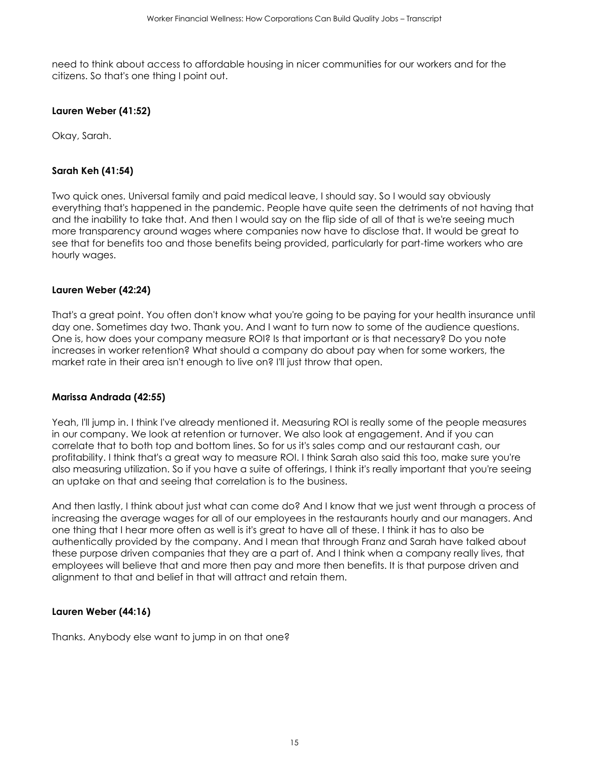need to think about access to affordable housing in nicer communities for our workers and for the citizens. So that's one thing I point out.

#### **Lauren Weber (41:52)**

Okay, Sarah.

#### **Sarah Keh (41:54)**

Two quick ones. Universal family and paid medical leave, I should say. So I would say obviously everything that's happened in the pandemic. People have quite seen the detriments of not having that and the inability to take that. And then I would say on the flip side of all of that is we're seeing much more transparency around wages where companies now have to disclose that. It would be great to see that for benefits too and those benefits being provided, particularly for part-time workers who are hourly wages.

#### **Lauren Weber (42:24)**

That's a great point. You often don't know what you're going to be paying for your health insurance until day one. Sometimes day two. Thank you. And I want to turn now to some of the audience questions. One is, how does your company measure ROI? Is that important or is that necessary? Do you note increases in worker retention? What should a company do about pay when for some workers, the market rate in their area isn't enough to live on? I'll just throw that open.

#### **Marissa Andrada (42:55)**

Yeah, I'll jump in. I think I've already mentioned it. Measuring ROI is really some of the people measures in our company. We look at retention or turnover. We also look at engagement. And if you can correlate that to both top and bottom lines. So for us it's sales comp and our restaurant cash, our profitability. I think that's a great way to measure ROI. I think Sarah also said this too, make sure you're also measuring utilization. So if you have a suite of offerings, I think it's really important that you're seeing an uptake on that and seeing that correlation is to the business.

And then lastly, I think about just what can come do? And I know that we just went through a process of increasing the average wages for all of our employees in the restaurants hourly and our managers. And one thing that I hear more often as well is it's great to have all of these. I think it has to also be authentically provided by the company. And I mean that through Franz and Sarah have talked about these purpose driven companies that they are a part of. And I think when a company really lives, that employees will believe that and more then pay and more then benefits. It is that purpose driven and alignment to that and belief in that will attract and retain them.

#### **Lauren Weber (44:16)**

Thanks. Anybody else want to jump in on that one?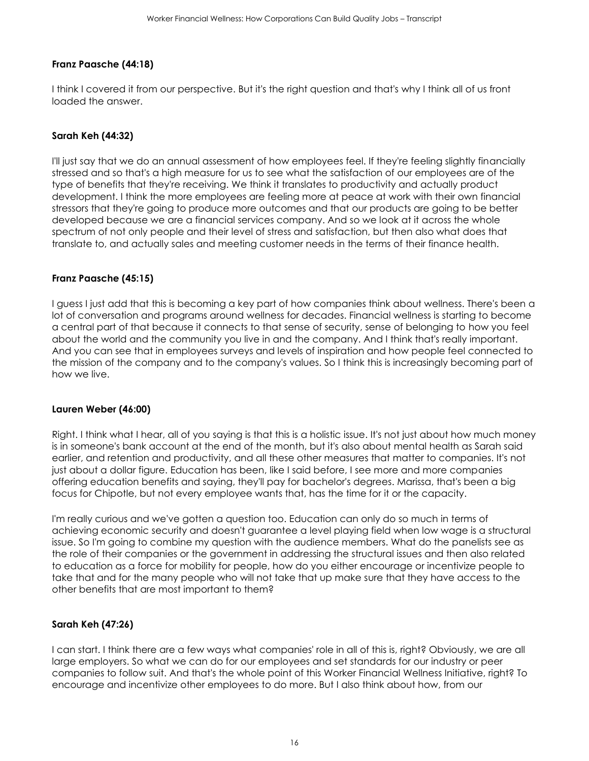## **Franz Paasche (44:18)**

I think I covered it from our perspective. But it's the right question and that's why I think all of us front loaded the answer.

### **Sarah Keh (44:32)**

I'll just say that we do an annual assessment of how employees feel. If they're feeling slightly financially stressed and so that's a high measure for us to see what the satisfaction of our employees are of the type of benefits that they're receiving. We think it translates to productivity and actually product development. I think the more employees are feeling more at peace at work with their own financial stressors that they're going to produce more outcomes and that our products are going to be better developed because we are a financial services company. And so we look at it across the whole spectrum of not only people and their level of stress and satisfaction, but then also what does that translate to, and actually sales and meeting customer needs in the terms of their finance health.

#### **Franz Paasche (45:15)**

I guess I just add that this is becoming a key part of how companies think about wellness. There's been a lot of conversation and programs around wellness for decades. Financial wellness is starting to become a central part of that because it connects to that sense of security, sense of belonging to how you feel about the world and the community you live in and the company. And I think that's really important. And you can see that in employees surveys and levels of inspiration and how people feel connected to the mission of the company and to the company's values. So I think this is increasingly becoming part of how we live.

#### **Lauren Weber (46:00)**

Right. I think what I hear, all of you saying is that this is a holistic issue. It's not just about how much money is in someone's bank account at the end of the month, but it's also about mental health as Sarah said earlier, and retention and productivity, and all these other measures that matter to companies. It's not just about a dollar figure. Education has been, like I said before, I see more and more companies offering education benefits and saying, they'll pay for bachelor's degrees. Marissa, that's been a big focus for Chipotle, but not every employee wants that, has the time for it or the capacity.

I'm really curious and we've gotten a question too. Education can only do so much in terms of achieving economic security and doesn't guarantee a level playing field when low wage is a structural issue. So I'm going to combine my question with the audience members. What do the panelists see as the role of their companies or the government in addressing the structural issues and then also related to education as a force for mobility for people, how do you either encourage or incentivize people to take that and for the many people who will not take that up make sure that they have access to the other benefits that are most important to them?

#### **Sarah Keh (47:26)**

I can start. I think there are a few ways what companies' role in all of this is, right? Obviously, we are all large employers. So what we can do for our employees and set standards for our industry or peer companies to follow suit. And that's the whole point of this Worker Financial Wellness Initiative, right? To encourage and incentivize other employees to do more. But I also think about how, from our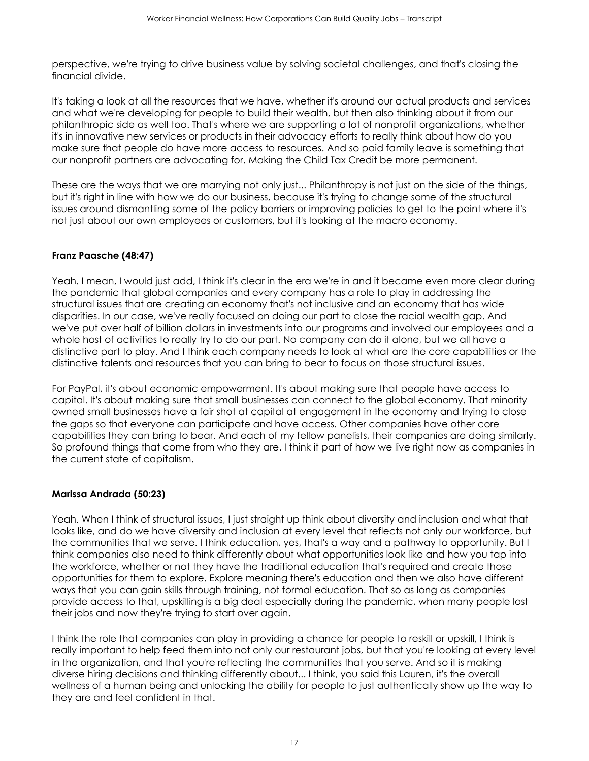perspective, we're trying to drive business value by solving societal challenges, and that's closing the financial divide.

It's taking a look at all the resources that we have, whether it's around our actual products and services and what we're developing for people to build their wealth, but then also thinking about it from our philanthropic side as well too. That's where we are supporting a lot of nonprofit organizations, whether it's in innovative new services or products in their advocacy efforts to really think about how do you make sure that people do have more access to resources. And so paid family leave is something that our nonprofit partners are advocating for. Making the Child Tax Credit be more permanent.

These are the ways that we are marrying not only just... Philanthropy is not just on the side of the things, but it's right in line with how we do our business, because it's trying to change some of the structural issues around dismantling some of the policy barriers or improving policies to get to the point where it's not just about our own employees or customers, but it's looking at the macro economy.

# **Franz Paasche (48:47)**

Yeah. I mean, I would just add, I think it's clear in the era we're in and it became even more clear during the pandemic that global companies and every company has a role to play in addressing the structural issues that are creating an economy that's not inclusive and an economy that has wide disparities. In our case, we've really focused on doing our part to close the racial wealth gap. And we've put over half of billion dollars in investments into our programs and involved our employees and a whole host of activities to really try to do our part. No company can do it alone, but we all have a distinctive part to play. And I think each company needs to look at what are the core capabilities or the distinctive talents and resources that you can bring to bear to focus on those structural issues.

For PayPal, it's about economic empowerment. It's about making sure that people have access to capital. It's about making sure that small businesses can connect to the global economy. That minority owned small businesses have a fair shot at capital at engagement in the economy and trying to close the gaps so that everyone can participate and have access. Other companies have other core capabilities they can bring to bear. And each of my fellow panelists, their companies are doing similarly. So profound things that come from who they are. I think it part of how we live right now as companies in the current state of capitalism.

# **Marissa Andrada (50:23)**

Yeah. When I think of structural issues, I just straight up think about diversity and inclusion and what that looks like, and do we have diversity and inclusion at every level that reflects not only our workforce, but the communities that we serve. I think education, yes, that's a way and a pathway to opportunity. But I think companies also need to think differently about what opportunities look like and how you tap into the workforce, whether or not they have the traditional education that's required and create those opportunities for them to explore. Explore meaning there's education and then we also have different ways that you can gain skills through training, not formal education. That so as long as companies provide access to that, upskilling is a big deal especially during the pandemic, when many people lost their jobs and now they're trying to start over again.

I think the role that companies can play in providing a chance for people to reskill or upskill, I think is really important to help feed them into not only our restaurant jobs, but that you're looking at every level in the organization, and that you're reflecting the communities that you serve. And so it is making diverse hiring decisions and thinking differently about... I think, you said this Lauren, it's the overall wellness of a human being and unlocking the ability for people to just authentically show up the way to they are and feel confident in that.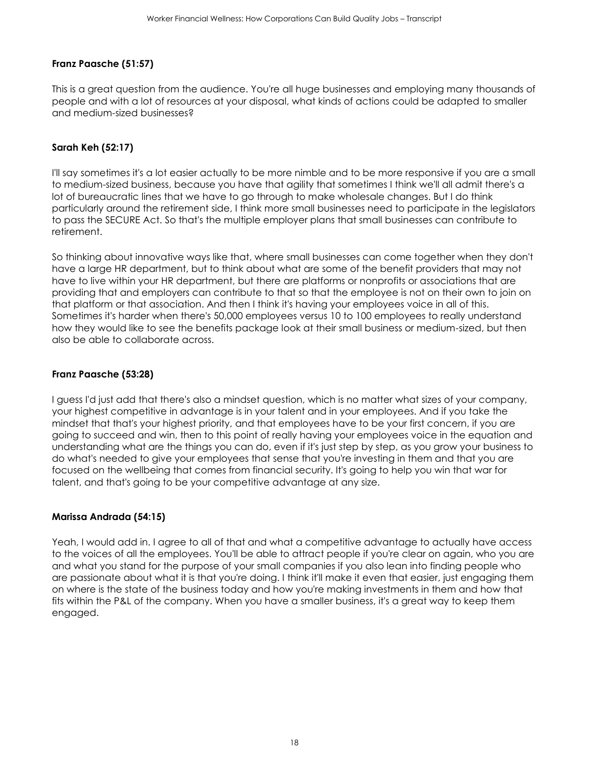## **Franz Paasche (51:57)**

This is a great question from the audience. You're all huge businesses and employing many thousands of people and with a lot of resources at your disposal, what kinds of actions could be adapted to smaller and medium-sized businesses?

### **Sarah Keh (52:17)**

I'll say sometimes it's a lot easier actually to be more nimble and to be more responsive if you are a small to medium-sized business, because you have that agility that sometimes I think we'll all admit there's a lot of bureaucratic lines that we have to go through to make wholesale changes. But I do think particularly around the retirement side, I think more small businesses need to participate in the legislators to pass the SECURE Act. So that's the multiple employer plans that small businesses can contribute to retirement.

So thinking about innovative ways like that, where small businesses can come together when they don't have a large HR department, but to think about what are some of the benefit providers that may not have to live within your HR department, but there are platforms or nonprofits or associations that are providing that and employers can contribute to that so that the employee is not on their own to join on that platform or that association. And then I think it's having your employees voice in all of this. Sometimes it's harder when there's 50,000 employees versus 10 to 100 employees to really understand how they would like to see the benefits package look at their small business or medium-sized, but then also be able to collaborate across.

#### **Franz Paasche (53:28)**

I guess I'd just add that there's also a mindset question, which is no matter what sizes of your company, your highest competitive in advantage is in your talent and in your employees. And if you take the mindset that that's your highest priority, and that employees have to be your first concern, if you are going to succeed and win, then to this point of really having your employees voice in the equation and understanding what are the things you can do, even if it's just step by step, as you grow your business to do what's needed to give your employees that sense that you're investing in them and that you are focused on the wellbeing that comes from financial security. It's going to help you win that war for talent, and that's going to be your competitive advantage at any size.

#### **Marissa Andrada (54:15)**

Yeah, I would add in. I agree to all of that and what a competitive advantage to actually have access to the voices of all the employees. You'll be able to attract people if you're clear on again, who you are and what you stand for the purpose of your small companies if you also lean into finding people who are passionate about what it is that you're doing. I think it'll make it even that easier, just engaging them on where is the state of the business today and how you're making investments in them and how that fits within the P&L of the company. When you have a smaller business, it's a great way to keep them engaged.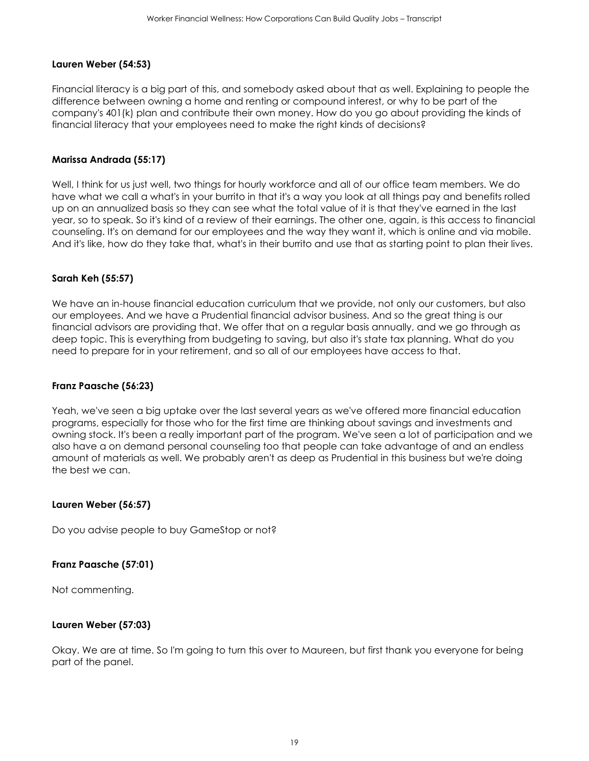### **Lauren Weber (54:53)**

Financial literacy is a big part of this, and somebody asked about that as well. Explaining to people the difference between owning a home and renting or compound interest, or why to be part of the company's 401(k) plan and contribute their own money. How do you go about providing the kinds of financial literacy that your employees need to make the right kinds of decisions?

### **Marissa Andrada (55:17)**

Well, I think for us just well, two things for hourly workforce and all of our office team members. We do have what we call a what's in your burrito in that it's a way you look at all things pay and benefits rolled up on an annualized basis so they can see what the total value of it is that they've earned in the last year, so to speak. So it's kind of a review of their earnings. The other one, again, is this access to financial counseling. It's on demand for our employees and the way they want it, which is online and via mobile. And it's like, how do they take that, what's in their burrito and use that as starting point to plan their lives.

## **Sarah Keh (55:57)**

We have an in-house financial education curriculum that we provide, not only our customers, but also our employees. And we have a Prudential financial advisor business. And so the great thing is our financial advisors are providing that. We offer that on a regular basis annually, and we go through as deep topic. This is everything from budgeting to saving, but also it's state tax planning. What do you need to prepare for in your retirement, and so all of our employees have access to that.

#### **Franz Paasche (56:23)**

Yeah, we've seen a big uptake over the last several years as we've offered more financial education programs, especially for those who for the first time are thinking about savings and investments and owning stock. It's been a really important part of the program. We've seen a lot of participation and we also have a on demand personal counseling too that people can take advantage of and an endless amount of materials as well. We probably aren't as deep as Prudential in this business but we're doing the best we can.

#### **Lauren Weber (56:57)**

Do you advise people to buy GameStop or not?

#### **Franz Paasche (57:01)**

Not commenting.

#### **Lauren Weber (57:03)**

Okay. We are at time. So I'm going to turn this over to Maureen, but first thank you everyone for being part of the panel.